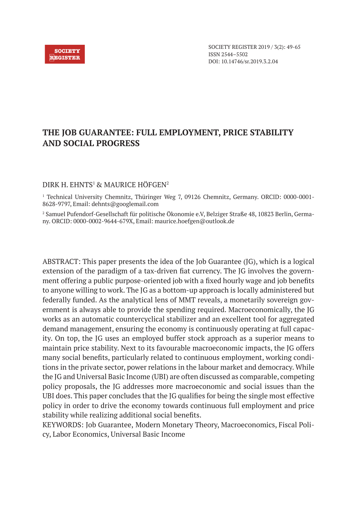**SOCIETY REGISTER**  SOCIETY REGISTER 2019 / 3(2): 49-65 ISSN 2544–5502 DOI: 10.14746/sr.2019.3.2.04

# **THE JOB GUARANTEE: FULL EMPLOYMENT, PRICE STABILITY AND SOCIAL PROGRESS**

## DIRK H. EHNTS<sup>1</sup> & MAURICE HÖFGEN<sup>2</sup>

1 Technical University Chemnitz, Thüringer Weg 7, 09126 Chemnitz, Germany. ORCID: 0000-0001- 8628-9797, Email: dehnts@googlemail.com

2 Samuel Pufendorf-Gesellschaft für politische Ökonomie e.V, Belziger Straße 48, 10823 Berlin, Germany. ORCID: 0000-0002-9644-679X, Email: maurice.hoefgen@outlook.de

ABSTRACT: This paper presents the idea of the Job Guarantee (JG), which is a logical extension of the paradigm of a tax-driven fiat currency. The JG involves the government offering a public purpose-oriented job with a fixed hourly wage and job benefits to anyone willing to work. The JG as a bottom-up approach is locally administered but federally funded. As the analytical lens of MMT reveals, a monetarily sovereign government is always able to provide the spending required. Macroeconomically, the JG works as an automatic countercyclical stabilizer and an excellent tool for aggregated demand management, ensuring the economy is continuously operating at full capacity. On top, the JG uses an employed buffer stock approach as a superior means to maintain price stability. Next to its favourable macroeconomic impacts, the JG offers many social benefits, particularly related to continuous employment, working conditions in the private sector, power relations in the labour market and democracy. While the JG and Universal Basic Income (UBI) are often discussed as comparable, competing policy proposals, the JG addresses more macroeconomic and social issues than the UBI does. This paper concludes that the JG qualifies for being the single most effective policy in order to drive the economy towards continuous full employment and price stability while realizing additional social benefits.

KEYWORDS: Job Guarantee, Modern Monetary Theory, Macroeconomics, Fiscal Policy, Labor Economics, Universal Basic Income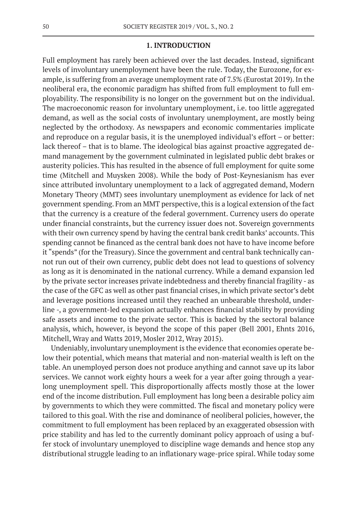#### **1. INTRODUCTION**

Full employment has rarely been achieved over the last decades. Instead, significant levels of involuntary unemployment have been the rule. Today, the Eurozone, for example, is suffering from an average unemployment rate of 7.5% (Eurostat 2019). In the neoliberal era, the economic paradigm has shifted from full employment to full employability. The responsibility is no longer on the government but on the individual. The macroeconomic reason for involuntary unemployment, i.e. too little aggregated demand, as well as the social costs of involuntary unemployment, are mostly being neglected by the orthodoxy. As newspapers and economic commentaries implicate and reproduce on a regular basis, it is the unemployed individual's effort – or better: lack thereof – that is to blame. The ideological bias against proactive aggregated demand management by the government culminated in legislated public debt brakes or austerity policies. This has resulted in the absence of full employment for quite some time (Mitchell and Muysken 2008). While the body of Post-Keynesianism has ever since attributed involuntary unemployment to a lack of aggregated demand, Modern Monetary Theory (MMT) sees involuntary unemployment as evidence for lack of net government spending. From an MMT perspective, this is a logical extension of the fact that the currency is a creature of the federal government. Currency users do operate under financial constraints, but the currency issuer does not. Sovereign governments with their own currency spend by having the central bank credit banks' accounts. This spending cannot be financed as the central bank does not have to have income before it "spends" (for the Treasury). Since the government and central bank technically cannot run out of their own currency, public debt does not lead to questions of solvency as long as it is denominated in the national currency. While a demand expansion led by the private sector increases private indebtedness and thereby financial fragility - as the case of the GFC as well as other past financial crises, in which private sector's debt and leverage positions increased until they reached an unbearable threshold, underline -, a government-led expansion actually enhances financial stability by providing safe assets and income to the private sector. This is backed by the sectoral balance analysis, which, however, is beyond the scope of this paper (Bell 2001, Ehnts 2016, Mitchell, Wray and Watts 2019, Mosler 2012, Wray 2015).

Undeniably, involuntary unemployment is the evidence that economies operate below their potential, which means that material and non-material wealth is left on the table. An unemployed person does not produce anything and cannot save up its labor services. We cannot work eighty hours a week for a year after going through a yearlong unemployment spell. This disproportionally affects mostly those at the lower end of the income distribution. Full employment has long been a desirable policy aim by governments to which they were committed. The fiscal and monetary policy were tailored to this goal. With the rise and dominance of neoliberal policies, however, the commitment to full employment has been replaced by an exaggerated obsession with price stability and has led to the currently dominant policy approach of using a buffer stock of involuntary unemployed to discipline wage demands and hence stop any distributional struggle leading to an inflationary wage-price spiral. While today some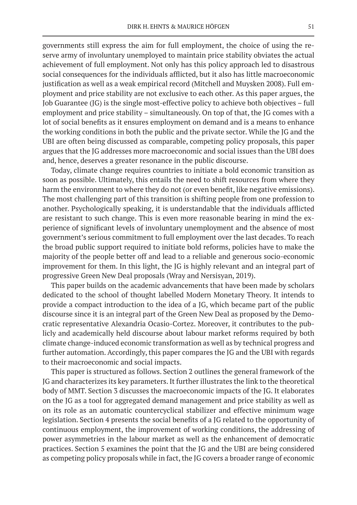governments still express the aim for full employment, the choice of using the reserve army of involuntary unemployed to maintain price stability obviates the actual achievement of full employment. Not only has this policy approach led to disastrous social consequences for the individuals afflicted, but it also has little macroeconomic justification as well as a weak empirical record (Mitchell and Muysken 2008). Full employment and price stability are not exclusive to each other. As this paper argues, the Job Guarantee (JG) is the single most-effective policy to achieve both objectives – full employment and price stability – simultaneously. On top of that, the JG comes with a lot of social benefits as it ensures employment on demand and is a means to enhance the working conditions in both the public and the private sector. While the JG and the UBI are often being discussed as comparable, competing policy proposals, this paper argues that the JG addresses more macroeconomic and social issues than the UBI does and, hence, deserves a greater resonance in the public discourse.

Today, climate change requires countries to initiate a bold economic transition as soon as possible. Ultimately, this entails the need to shift resources from where they harm the environment to where they do not (or even benefit, like negative emissions). The most challenging part of this transition is shifting people from one profession to another. Psychologically speaking, it is understandable that the individuals afflicted are resistant to such change. This is even more reasonable bearing in mind the experience of significant levels of involuntary unemployment and the absence of most government's serious commitment to full employment over the last decades. To reach the broad public support required to initiate bold reforms, policies have to make the majority of the people better off and lead to a reliable and generous socio-economic improvement for them. In this light, the JG is highly relevant and an integral part of progressive Green New Deal proposals (Wray and Nersisyan, 2019).

This paper builds on the academic advancements that have been made by scholars dedicated to the school of thought labelled Modern Monetary Theory. It intends to provide a compact introduction to the idea of a JG, which became part of the public discourse since it is an integral part of the Green New Deal as proposed by the Democratic representative Alexandria Ocasio-Cortez. Moreover, it contributes to the publicly and academically held discourse about labour market reforms required by both climate change-induced economic transformation as well as by technical progress and further automation. Accordingly, this paper compares the JG and the UBI with regards to their macroeconomic and social impacts.

This paper is structured as follows. Section 2 outlines the general framework of the JG and characterizes its key parameters. It further illustrates the link to the theoretical body of MMT. Section 3 discusses the macroeconomic impacts of the JG. It elaborates on the JG as a tool for aggregated demand management and price stability as well as on its role as an automatic countercyclical stabilizer and effective minimum wage legislation. Section 4 presents the social benefits of a JG related to the opportunity of continuous employment, the improvement of working conditions, the addressing of power asymmetries in the labour market as well as the enhancement of democratic practices. Section 5 examines the point that the JG and the UBI are being considered as competing policy proposals while in fact, the JG covers a broader range of economic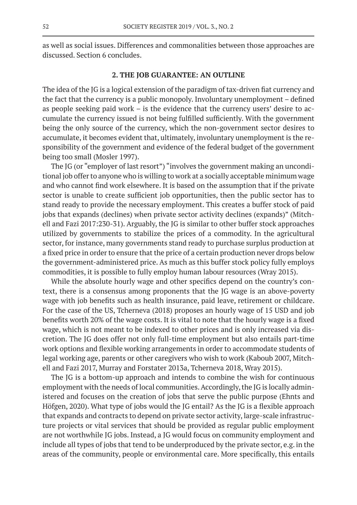as well as social issues. Differences and commonalities between those approaches are discussed. Section 6 concludes.

#### **2. THE JOB GUARANTEE: AN OUTLINE**

The idea of the JG is a logical extension of the paradigm of tax-driven fiat currency and the fact that the currency is a public monopoly. Involuntary unemployment – defined as people seeking paid work – is the evidence that the currency users' desire to accumulate the currency issued is not being fulfilled sufficiently. With the government being the only source of the currency, which the non-government sector desires to accumulate, it becomes evident that, ultimately, involuntary unemployment is the responsibility of the government and evidence of the federal budget of the government being too small (Mosler 1997).

The JG (or "employer of last resort") "involves the government making an unconditional job offer to anyone who is willing to work at a socially acceptable minimum wage and who cannot find work elsewhere. It is based on the assumption that if the private sector is unable to create sufficient job opportunities, then the public sector has to stand ready to provide the necessary employment. This creates a buffer stock of paid jobs that expands (declines) when private sector activity declines (expands)" (Mitchell and Fazi 2017:230-31). Arguably, the JG is similar to other buffer stock approaches utilized by governments to stabilize the prices of a commodity. In the agricultural sector, for instance, many governments stand ready to purchase surplus production at a fixed price in order to ensure that the price of a certain production never drops below the government-administered price. As much as this buffer stock policy fully employs commodities, it is possible to fully employ human labour resources (Wray 2015).

While the absolute hourly wage and other specifics depend on the country's context, there is a consensus among proponents that the JG wage is an above-poverty wage with job benefits such as health insurance, paid leave, retirement or childcare. For the case of the US, Tcherneva (2018) proposes an hourly wage of 15 USD and job benefits worth 20% of the wage costs. It is vital to note that the hourly wage is a fixed wage, which is not meant to be indexed to other prices and is only increased via discretion. The JG does offer not only full-time employment but also entails part-time work options and flexible working arrangements in order to accommodate students of legal working age, parents or other caregivers who wish to work (Kaboub 2007, Mitchell and Fazi 2017, Murray and Forstater 2013a, Tcherneva 2018, Wray 2015).

The JG is a bottom-up approach and intends to combine the wish for continuous employment with the needs of local communities. Accordingly, the JG is locally administered and focuses on the creation of jobs that serve the public purpose (Ehnts and Höfgen, 2020). What type of jobs would the JG entail? As the JG is a flexible approach that expands and contracts to depend on private sector activity, large-scale infrastructure projects or vital services that should be provided as regular public employment are not worthwhile JG jobs. Instead, a JG would focus on community employment and include all types of jobs that tend to be underproduced by the private sector, e.g. in the areas of the community, people or environmental care. More specifically, this entails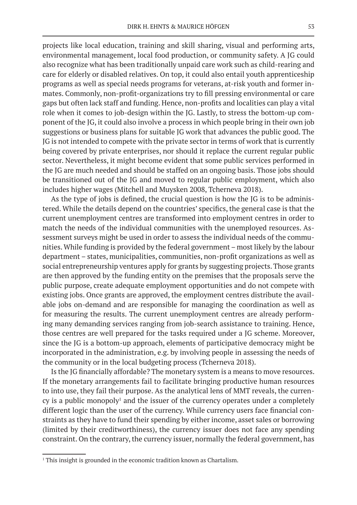projects like local education, training and skill sharing, visual and performing arts, environmental management, local food production, or community safety. A JG could also recognize what has been traditionally unpaid care work such as child-rearing and care for elderly or disabled relatives. On top, it could also entail youth apprenticeship programs as well as special needs programs for veterans, at-risk youth and former inmates. Commonly, non-profit-organizations try to fill pressing environmental or care gaps but often lack staff and funding. Hence, non-profits and localities can play a vital role when it comes to job-design within the JG. Lastly, to stress the bottom-up component of the JG, it could also involve a process in which people bring in their own job suggestions or business plans for suitable JG work that advances the public good. The JG is not intended to compete with the private sector in terms of work that is currently being covered by private enterprises, nor should it replace the current regular public sector. Nevertheless, it might become evident that some public services performed in the JG are much needed and should be staffed on an ongoing basis. Those jobs should be transitioned out of the JG and moved to regular public employment, which also includes higher wages (Mitchell and Muysken 2008, Tcherneva 2018).

As the type of jobs is defined, the crucial question is how the JG is to be administered. While the details depend on the countries' specifics, the general case is that the current unemployment centres are transformed into employment centres in order to match the needs of the individual communities with the unemployed resources. Assessment surveys might be used in order to assess the individual needs of the communities. While funding is provided by the federal government – most likely by the labour department – states, municipalities, communities, non-profit organizations as well as social entrepreneurship ventures apply for grants by suggesting projects. Those grants are then approved by the funding entity on the premises that the proposals serve the public purpose, create adequate employment opportunities and do not compete with existing jobs. Once grants are approved, the employment centres distribute the available jobs on-demand and are responsible for managing the coordination as well as for measuring the results. The current unemployment centres are already performing many demanding services ranging from job-search assistance to training. Hence, those centres are well prepared for the tasks required under a JG scheme. Moreover, since the JG is a bottom-up approach, elements of participative democracy might be incorporated in the administration, e.g. by involving people in assessing the needs of the community or in the local budgeting process (Tcherneva 2018).

Is the JG financially affordable? The monetary system is a means to move resources. If the monetary arrangements fail to facilitate bringing productive human resources to into use, they fail their purpose. As the analytical lens of MMT reveals, the curren $cy$  is a public monopoly<sup>1</sup> and the issuer of the currency operates under a completely different logic than the user of the currency. While currency users face financial constraints as they have to fund their spending by either income, asset sales or borrowing (limited by their creditworthiness), the currency issuer does not face any spending constraint. On the contrary, the currency issuer, normally the federal government, has

<sup>&</sup>lt;sup>1</sup> This insight is grounded in the economic tradition known as Chartalism.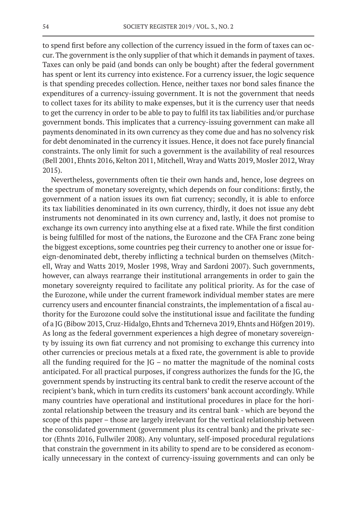to spend first before any collection of the currency issued in the form of taxes can occur. The government is the only supplier of that which it demands in payment of taxes. Taxes can only be paid (and bonds can only be bought) after the federal government has spent or lent its currency into existence. For a currency issuer, the logic sequence is that spending precedes collection. Hence, neither taxes nor bond sales finance the expenditures of a currency-issuing government. It is not the government that needs to collect taxes for its ability to make expenses, but it is the currency user that needs to get the currency in order to be able to pay to fulfil its tax liabilities and/or purchase government bonds. This implicates that a currency-issuing government can make all payments denominated in its own currency as they come due and has no solvency risk for debt denominated in the currency it issues. Hence, it does not face purely financial constraints. The only limit for such a government is the availability of real resources (Bell 2001, Ehnts 2016, Kelton 2011, Mitchell, Wray and Watts 2019, Mosler 2012, Wray 2015).

Nevertheless, governments often tie their own hands and, hence, lose degrees on the spectrum of monetary sovereignty, which depends on four conditions: firstly, the government of a nation issues its own fiat currency; secondly, it is able to enforce its tax liabilities denominated in its own currency, thirdly, it does not issue any debt instruments not denominated in its own currency and, lastly, it does not promise to exchange its own currency into anything else at a fixed rate. While the first condition is being fulfilled for most of the nations, the Eurozone and the CFA Franc zone being the biggest exceptions, some countries peg their currency to another one or issue foreign-denominated debt, thereby inflicting a technical burden on themselves (Mitchell, Wray and Watts 2019, Mosler 1998, Wray and Sardoni 2007). Such governments, however, can always rearrange their institutional arrangements in order to gain the monetary sovereignty required to facilitate any political priority. As for the case of the Eurozone, while under the current framework individual member states are mere currency users and encounter financial constraints, the implementation of a fiscal authority for the Eurozone could solve the institutional issue and facilitate the funding of a JG (Bibow 2013, Cruz-Hidalgo, Ehnts and Tcherneva 2019, Ehnts and Höfgen 2019). As long as the federal government experiences a high degree of monetary sovereignty by issuing its own fiat currency and not promising to exchange this currency into other currencies or precious metals at a fixed rate, the government is able to provide all the funding required for the JG – no matter the magnitude of the nominal costs anticipated. For all practical purposes, if congress authorizes the funds for the JG, the government spends by instructing its central bank to credit the reserve account of the recipient's bank, which in turn credits its customers' bank account accordingly. While many countries have operational and institutional procedures in place for the horizontal relationship between the treasury and its central bank - which are beyond the scope of this paper – those are largely irrelevant for the vertical relationship between the consolidated government (government plus its central bank) and the private sector (Ehnts 2016, Fullwiler 2008). Any voluntary, self-imposed procedural regulations that constrain the government in its ability to spend are to be considered as economically unnecessary in the context of currency-issuing governments and can only be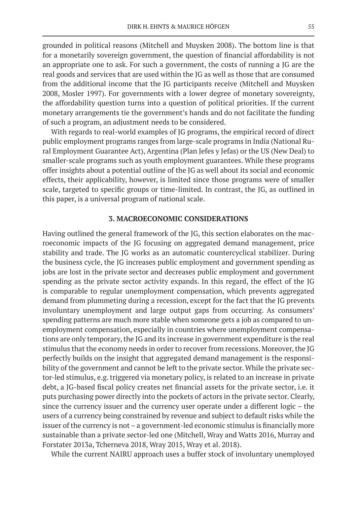grounded in political reasons (Mitchell and Muysken 2008). The bottom line is that for a monetarily sovereign government, the question of financial affordability is not an appropriate one to ask. For such a government, the costs of running a JG are the real goods and services that are used within the JG as well as those that are consumed from the additional income that the JG participants receive (Mitchell and Muysken 2008, Mosler 1997). For governments with a lower degree of monetary sovereignty, the affordability question turns into a question of political priorities. If the current monetary arrangements tie the government's hands and do not facilitate the funding of such a program, an adjustment needs to be considered.

With regards to real-world examples of JG programs, the empirical record of direct public employment programs ranges from large-scale programs in India (National Rural Employment Guarantee Act), Argentina (Plan Jefes y Jefas) or the US (New Deal) to smaller-scale programs such as youth employment guarantees. While these programs offer insights about a potential outline of the JG as well about its social and economic effects, their applicability, however, is limited since those programs were of smaller scale, targeted to specific groups or time-limited. In contrast, the JG, as outlined in this paper, is a universal program of national scale.

### **3. MACROECONOMIC CONSIDERATIONS**

Having outlined the general framework of the JG, this section elaborates on the macroeconomic impacts of the JG focusing on aggregated demand management, price stability and trade. The JG works as an automatic countercyclical stabilizer. During the business cycle, the JG increases public employment and government spending as jobs are lost in the private sector and decreases public employment and government spending as the private sector activity expands. In this regard, the effect of the JG is comparable to regular unemployment compensation, which prevents aggregated demand from plummeting during a recession, except for the fact that the JG prevents involuntary unemployment and large output gaps from occurring. As consumers' spending patterns are much more stable when someone gets a job as compared to unemployment compensation, especially in countries where unemployment compensations are only temporary, the JG and its increase in government expenditure is the real stimulus that the economy needs in order to recover from recessions. Moreover, the JG perfectly builds on the insight that aggregated demand management is the responsibility of the government and cannot be left to the private sector. While the private sector-led stimulus, e.g. triggered via monetary policy, is related to an increase in private debt, a JG-based fiscal policy creates net financial assets for the private sector, i.e. it puts purchasing power directly into the pockets of actors in the private sector. Clearly, since the currency issuer and the currency user operate under a different logic – the users of a currency being constrained by revenue and subject to default risks while the issuer of the currency is not – a government-led economic stimulus is financially more sustainable than a private sector-led one (Mitchell, Wray and Watts 2016, Murray and Forstater 2013a, Tcherneva 2018, Wray 2015, Wray et al. 2018).

While the current NAIRU approach uses a buffer stock of involuntary unemployed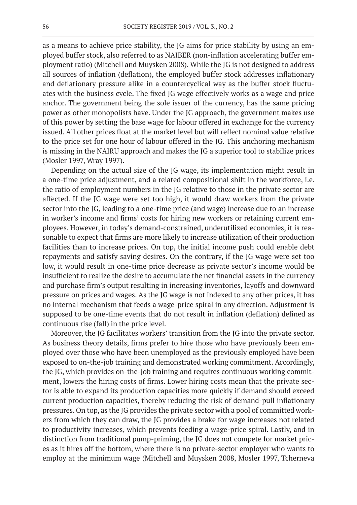as a means to achieve price stability, the JG aims for price stability by using an employed buffer stock, also referred to as NAIBER (non-inflation accelerating buffer employment ratio) (Mitchell and Muysken 2008). While the JG is not designed to address all sources of inflation (deflation), the employed buffer stock addresses inflationary and deflationary pressure alike in a countercyclical way as the buffer stock fluctuates with the business cycle. The fixed JG wage effectively works as a wage and price anchor. The government being the sole issuer of the currency, has the same pricing power as other monopolists have. Under the JG approach, the government makes use of this power by setting the base wage for labour offered in exchange for the currency issued. All other prices float at the market level but will reflect nominal value relative to the price set for one hour of labour offered in the JG. This anchoring mechanism is missing in the NAIRU approach and makes the JG a superior tool to stabilize prices (Mosler 1997, Wray 1997).

Depending on the actual size of the JG wage, its implementation might result in a one-time price adjustment, and a related compositional shift in the workforce, i.e. the ratio of employment numbers in the JG relative to those in the private sector are affected. If the JG wage were set too high, it would draw workers from the private sector into the JG, leading to a one-time price (and wage) increase due to an increase in worker's income and firms' costs for hiring new workers or retaining current employees. However, in today's demand-constrained, underutilized economies, it is reasonable to expect that firms are more likely to increase utilization of their production facilities than to increase prices. On top, the initial income push could enable debt repayments and satisfy saving desires. On the contrary, if the JG wage were set too low, it would result in one-time price decrease as private sector's income would be insufficient to realize the desire to accumulate the net financial assets in the currency and purchase firm's output resulting in increasing inventories, layoffs and downward pressure on prices and wages. As the JG wage is not indexed to any other prices, it has no internal mechanism that feeds a wage-price spiral in any direction. Adjustment is supposed to be one-time events that do not result in inflation (deflation) defined as continuous rise (fall) in the price level.

Moreover, the JG facilitates workers' transition from the JG into the private sector. As business theory details, firms prefer to hire those who have previously been employed over those who have been unemployed as the previously employed have been exposed to on-the-job training and demonstrated working commitment. Accordingly, the JG, which provides on-the-job training and requires continuous working commitment, lowers the hiring costs of firms. Lower hiring costs mean that the private sector is able to expand its production capacities more quickly if demand should exceed current production capacities, thereby reducing the risk of demand-pull inflationary pressures. On top, as the JG provides the private sector with a pool of committed workers from which they can draw, the JG provides a brake for wage increases not related to productivity increases, which prevents feeding a wage-price spiral. Lastly, and in distinction from traditional pump-priming, the JG does not compete for market prices as it hires off the bottom, where there is no private-sector employer who wants to employ at the minimum wage (Mitchell and Muysken 2008, Mosler 1997, Tcherneva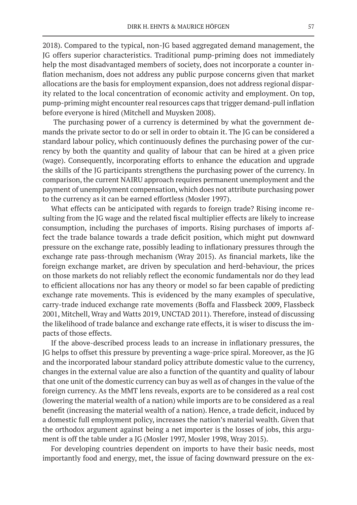2018). Compared to the typical, non-JG based aggregated demand management, the JG offers superior characteristics. Traditional pump-priming does not immediately help the most disadvantaged members of society, does not incorporate a counter inflation mechanism, does not address any public purpose concerns given that market allocations are the basis for employment expansion, does not address regional disparity related to the local concentration of economic activity and employment. On top, pump-priming might encounter real resources caps that trigger demand-pull inflation before everyone is hired (Mitchell and Muysken 2008).

 The purchasing power of a currency is determined by what the government demands the private sector to do or sell in order to obtain it. The JG can be considered a standard labour policy, which continuously defines the purchasing power of the currency by both the quantity and quality of labour that can be hired at a given price (wage). Consequently, incorporating efforts to enhance the education and upgrade the skills of the JG participants strengthens the purchasing power of the currency. In comparison, the current NAIRU approach requires permanent unemployment and the payment of unemployment compensation, which does not attribute purchasing power to the currency as it can be earned effortless (Mosler 1997).

What effects can be anticipated with regards to foreign trade? Rising income resulting from the JG wage and the related fiscal multiplier effects are likely to increase consumption, including the purchases of imports. Rising purchases of imports affect the trade balance towards a trade deficit position, which might put downward pressure on the exchange rate, possibly leading to inflationary pressures through the exchange rate pass-through mechanism (Wray 2015). As financial markets, like the foreign exchange market, are driven by speculation and herd-behaviour, the prices on those markets do not reliably reflect the economic fundamentals nor do they lead to efficient allocations nor has any theory or model so far been capable of predicting exchange rate movements. This is evidenced by the many examples of speculative, carry-trade induced exchange rate movements (Boffa and Flassbeck 2009, Flassbeck 2001, Mitchell, Wray and Watts 2019, UNCTAD 2011). Therefore, instead of discussing the likelihood of trade balance and exchange rate effects, it is wiser to discuss the impacts of those effects.

If the above-described process leads to an increase in inflationary pressures, the JG helps to offset this pressure by preventing a wage-price spiral. Moreover, as the JG and the incorporated labour standard policy attribute domestic value to the currency, changes in the external value are also a function of the quantity and quality of labour that one unit of the domestic currency can buy as well as of changes in the value of the foreign currency. As the MMT lens reveals, exports are to be considered as a real cost (lowering the material wealth of a nation) while imports are to be considered as a real benefit (increasing the material wealth of a nation). Hence, a trade deficit, induced by a domestic full employment policy, increases the nation's material wealth. Given that the orthodox argument against being a net importer is the losses of jobs, this argument is off the table under a JG (Mosler 1997, Mosler 1998, Wray 2015).

For developing countries dependent on imports to have their basic needs, most importantly food and energy, met, the issue of facing downward pressure on the ex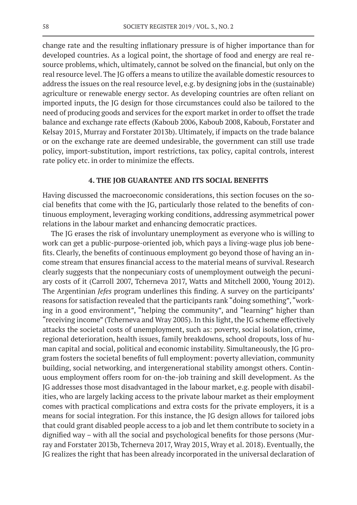change rate and the resulting inflationary pressure is of higher importance than for developed countries. As a logical point, the shortage of food and energy are real resource problems, which, ultimately, cannot be solved on the financial, but only on the real resource level. The JG offers a means to utilize the available domestic resources to address the issues on the real resource level, e.g. by designing jobs in the (sustainable) agriculture or renewable energy sector. As developing countries are often reliant on imported inputs, the JG design for those circumstances could also be tailored to the need of producing goods and services for the export market in order to offset the trade balance and exchange rate effects (Kaboub 2006, Kaboub 2008, Kaboub, Forstater and Kelsay 2015, Murray and Forstater 2013b). Ultimately, if impacts on the trade balance or on the exchange rate are deemed undesirable, the government can still use trade policy, import-substitution, import restrictions, tax policy, capital controls, interest rate policy etc. in order to minimize the effects.

## **4. THE JOB GUARANTEE AND ITS SOCIAL BENEFITS**

Having discussed the macroeconomic considerations, this section focuses on the social benefits that come with the JG, particularly those related to the benefits of continuous employment, leveraging working conditions, addressing asymmetrical power relations in the labour market and enhancing democratic practices.

The JG erases the risk of involuntary unemployment as everyone who is willing to work can get a public-purpose-oriented job, which pays a living-wage plus job benefits. Clearly, the benefits of continuous employment go beyond those of having an income stream that ensures financial access to the material means of survival. Research clearly suggests that the nonpecuniary costs of unemployment outweigh the pecuniary costs of it (Carroll 2007, Tcherneva 2017, Watts and Mitchell 2000, Young 2012). The Argentinian *Jefes* program underlines this finding. A survey on the participants' reasons for satisfaction revealed that the participants rank "doing something", "working in a good environment", "helping the community", and "learning" higher than "receiving income" (Tcherneva and Wray 2005). In this light, the JG scheme effectively attacks the societal costs of unemployment, such as: poverty, social isolation, crime, regional deterioration, health issues, family breakdowns, school dropouts, loss of human capital and social, political and economic instability. Simultaneously, the JG program fosters the societal benefits of full employment: poverty alleviation, community building, social networking, and intergenerational stability amongst others. Continuous employment offers room for on-the-job training and skill development. As the JG addresses those most disadvantaged in the labour market, e.g. people with disabilities, who are largely lacking access to the private labour market as their employment comes with practical complications and extra costs for the private employers, it is a means for social integration. For this instance, the JG design allows for tailored jobs that could grant disabled people access to a job and let them contribute to society in a dignified way – with all the social and psychological benefits for those persons (Murray and Forstater 2013b, Tcherneva 2017, Wray 2015, Wray et al. 2018). Eventually, the JG realizes the right that has been already incorporated in the universal declaration of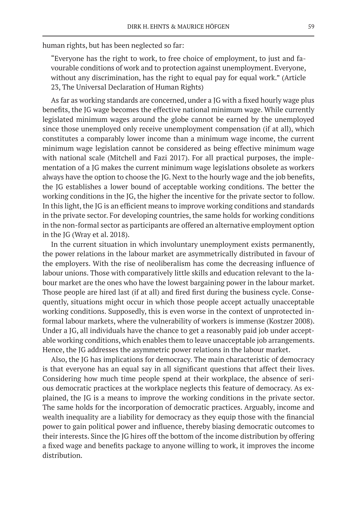human rights, but has been neglected so far:

"Everyone has the right to work, to free choice of employment, to just and favourable conditions of work and to protection against unemployment. Everyone, without any discrimination, has the right to equal pay for equal work." (Article 23, The Universal Declaration of Human Rights)

As far as working standards are concerned, under a JG with a fixed hourly wage plus benefits, the JG wage becomes the effective national minimum wage. While currently legislated minimum wages around the globe cannot be earned by the unemployed since those unemployed only receive unemployment compensation (if at all), which constitutes a comparably lower income than a minimum wage income, the current minimum wage legislation cannot be considered as being effective minimum wage with national scale (Mitchell and Fazi 2017). For all practical purposes, the implementation of a JG makes the current minimum wage legislations obsolete as workers always have the option to choose the JG. Next to the hourly wage and the job benefits, the JG establishes a lower bound of acceptable working conditions. The better the working conditions in the JG, the higher the incentive for the private sector to follow. In this light, the JG is an efficient means to improve working conditions and standards in the private sector. For developing countries, the same holds for working conditions in the non-formal sector as participants are offered an alternative employment option in the JG (Wray et al. 2018).

In the current situation in which involuntary unemployment exists permanently, the power relations in the labour market are asymmetrically distributed in favour of the employers. With the rise of neoliberalism has come the decreasing influence of labour unions. Those with comparatively little skills and education relevant to the labour market are the ones who have the lowest bargaining power in the labour market. Those people are hired last (if at all) and fired first during the business cycle. Consequently, situations might occur in which those people accept actually unacceptable working conditions. Supposedly, this is even worse in the context of unprotected informal labour markets, where the vulnerability of workers is immense (Kostzer 2008). Under a JG, all individuals have the chance to get a reasonably paid job under acceptable working conditions, which enables them to leave unacceptable job arrangements. Hence, the JG addresses the asymmetric power relations in the labour market.

Also, the JG has implications for democracy. The main characteristic of democracy is that everyone has an equal say in all significant questions that affect their lives. Considering how much time people spend at their workplace, the absence of serious democratic practices at the workplace neglects this feature of democracy. As explained, the JG is a means to improve the working conditions in the private sector. The same holds for the incorporation of democratic practices. Arguably, income and wealth inequality are a liability for democracy as they equip those with the financial power to gain political power and influence, thereby biasing democratic outcomes to their interests. Since the JG hires off the bottom of the income distribution by offering a fixed wage and benefits package to anyone willing to work, it improves the income distribution.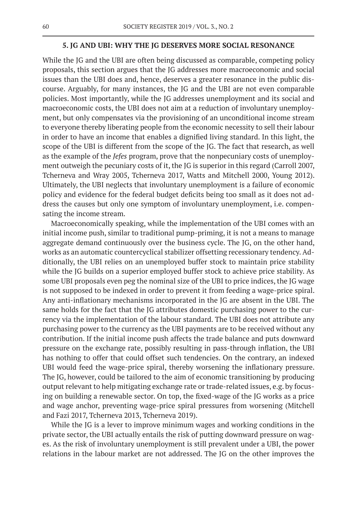#### **5. JG AND UBI: WHY THE JG DESERVES MORE SOCIAL RESONANCE**

While the JG and the UBI are often being discussed as comparable, competing policy proposals, this section argues that the JG addresses more macroeconomic and social issues than the UBI does and, hence, deserves a greater resonance in the public discourse. Arguably, for many instances, the JG and the UBI are not even comparable policies. Most importantly, while the JG addresses unemployment and its social and macroeconomic costs, the UBI does not aim at a reduction of involuntary unemployment, but only compensates via the provisioning of an unconditional income stream to everyone thereby liberating people from the economic necessity to sell their labour in order to have an income that enables a dignified living standard. In this light, the scope of the UBI is different from the scope of the JG. The fact that research, as well as the example of the *Jefes* program, prove that the nonpecuniary costs of unemployment outweigh the pecuniary costs of it, the JG is superior in this regard (Carroll 2007, Tcherneva and Wray 2005, Tcherneva 2017, Watts and Mitchell 2000, Young 2012). Ultimately, the UBI neglects that involuntary unemployment is a failure of economic policy and evidence for the federal budget deficits being too small as it does not address the causes but only one symptom of involuntary unemployment, i.e. compensating the income stream.

Macroeconomically speaking, while the implementation of the UBI comes with an initial income push, similar to traditional pump-priming, it is not a means to manage aggregate demand continuously over the business cycle. The JG, on the other hand, works as an automatic countercyclical stabilizer offsetting recessionary tendency. Additionally, the UBI relies on an unemployed buffer stock to maintain price stability while the JG builds on a superior employed buffer stock to achieve price stability. As some UBI proposals even peg the nominal size of the UBI to price indices, the JG wage is not supposed to be indexed in order to prevent it from feeding a wage-price spiral. Any anti-inflationary mechanisms incorporated in the JG are absent in the UBI. The same holds for the fact that the JG attributes domestic purchasing power to the currency via the implementation of the labour standard. The UBI does not attribute any purchasing power to the currency as the UBI payments are to be received without any contribution. If the initial income push affects the trade balance and puts downward pressure on the exchange rate, possibly resulting in pass-through inflation, the UBI has nothing to offer that could offset such tendencies. On the contrary, an indexed UBI would feed the wage-price spiral, thereby worsening the inflationary pressure. The JG, however, could be tailored to the aim of economic transitioning by producing output relevant to help mitigating exchange rate or trade-related issues, e.g. by focusing on building a renewable sector. On top, the fixed-wage of the JG works as a price and wage anchor, preventing wage-price spiral pressures from worsening (Mitchell and Fazi 2017, Tcherneva 2013, Tcherneva 2019).

While the JG is a lever to improve minimum wages and working conditions in the private sector, the UBI actually entails the risk of putting downward pressure on wages. As the risk of involuntary unemployment is still prevalent under a UBI, the power relations in the labour market are not addressed. The JG on the other improves the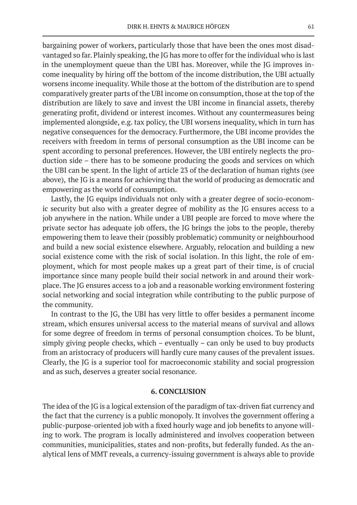bargaining power of workers, particularly those that have been the ones most disadvantaged so far. Plainly speaking, the JG has more to offer for the individual who is last in the unemployment queue than the UBI has. Moreover, while the JG improves income inequality by hiring off the bottom of the income distribution, the UBI actually worsens income inequality. While those at the bottom of the distribution are to spend comparatively greater parts of the UBI income on consumption, those at the top of the distribution are likely to save and invest the UBI income in financial assets, thereby generating profit, dividend or interest incomes. Without any countermeasures being implemented alongside, e.g. tax policy, the UBI worsens inequality, which in turn has negative consequences for the democracy. Furthermore, the UBI income provides the receivers with freedom in terms of personal consumption as the UBI income can be spent according to personal preferences. However, the UBI entirely neglects the production side – there has to be someone producing the goods and services on which the UBI can be spent. In the light of article 23 of the declaration of human rights (see above), the JG is a means for achieving that the world of producing as democratic and empowering as the world of consumption.

Lastly, the JG equips individuals not only with a greater degree of socio-economic security but also with a greater degree of mobility as the JG ensures access to a job anywhere in the nation. While under a UBI people are forced to move where the private sector has adequate job offers, the JG brings the jobs to the people, thereby empowering them to leave their (possibly problematic) community or neighbourhood and build a new social existence elsewhere. Arguably, relocation and building a new social existence come with the risk of social isolation. In this light, the role of employment, which for most people makes up a great part of their time, is of crucial importance since many people build their social network in and around their workplace. The JG ensures access to a job and a reasonable working environment fostering social networking and social integration while contributing to the public purpose of the community.

In contrast to the JG, the UBI has very little to offer besides a permanent income stream, which ensures universal access to the material means of survival and allows for some degree of freedom in terms of personal consumption choices. To be blunt, simply giving people checks, which – eventually – can only be used to buy products from an aristocracy of producers will hardly cure many causes of the prevalent issues. Clearly, the JG is a superior tool for macroeconomic stability and social progression and as such, deserves a greater social resonance.

### **6. CONCLUSION**

The idea of the JG is a logical extension of the paradigm of tax-driven fiat currency and the fact that the currency is a public monopoly. It involves the government offering a public-purpose-oriented job with a fixed hourly wage and job benefits to anyone willing to work. The program is locally administered and involves cooperation between communities, municipalities, states and non-profits, but federally funded. As the analytical lens of MMT reveals, a currency-issuing government is always able to provide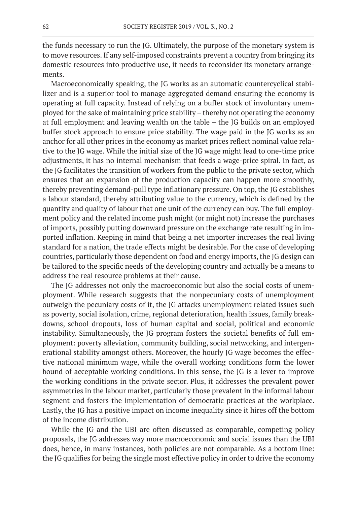the funds necessary to run the JG. Ultimately, the purpose of the monetary system is to move resources. If any self-imposed constraints prevent a country from bringing its domestic resources into productive use, it needs to reconsider its monetary arrangements.

Macroeconomically speaking, the JG works as an automatic countercyclical stabilizer and is a superior tool to manage aggregated demand ensuring the economy is operating at full capacity. Instead of relying on a buffer stock of involuntary unemployed for the sake of maintaining price stability – thereby not operating the economy at full employment and leaving wealth on the table – the JG builds on an employed buffer stock approach to ensure price stability. The wage paid in the JG works as an anchor for all other prices in the economy as market prices reflect nominal value relative to the JG wage. While the initial size of the JG wage might lead to one-time price adjustments, it has no internal mechanism that feeds a wage-price spiral. In fact, as the JG facilitates the transition of workers from the public to the private sector, which ensures that an expansion of the production capacity can happen more smoothly, thereby preventing demand-pull type inflationary pressure. On top, the JG establishes a labour standard, thereby attributing value to the currency, which is defined by the quantity and quality of labour that one unit of the currency can buy. The full employment policy and the related income push might (or might not) increase the purchases of imports, possibly putting downward pressure on the exchange rate resulting in imported inflation. Keeping in mind that being a net importer increases the real living standard for a nation, the trade effects might be desirable. For the case of developing countries, particularly those dependent on food and energy imports, the JG design can be tailored to the specific needs of the developing country and actually be a means to address the real resource problems at their cause.

The JG addresses not only the macroeconomic but also the social costs of unemployment. While research suggests that the nonpecuniary costs of unemployment outweigh the pecuniary costs of it, the JG attacks unemployment related issues such as poverty, social isolation, crime, regional deterioration, health issues, family breakdowns, school dropouts, loss of human capital and social, political and economic instability. Simultaneously, the JG program fosters the societal benefits of full employment: poverty alleviation, community building, social networking, and intergenerational stability amongst others. Moreover, the hourly JG wage becomes the effective national minimum wage, while the overall working conditions form the lower bound of acceptable working conditions. In this sense, the JG is a lever to improve the working conditions in the private sector. Plus, it addresses the prevalent power asymmetries in the labour market, particularly those prevalent in the informal labour segment and fosters the implementation of democratic practices at the workplace. Lastly, the JG has a positive impact on income inequality since it hires off the bottom of the income distribution.

While the JG and the UBI are often discussed as comparable, competing policy proposals, the JG addresses way more macroeconomic and social issues than the UBI does, hence, in many instances, both policies are not comparable. As a bottom line: the JG qualifies for being the single most effective policy in order to drive the economy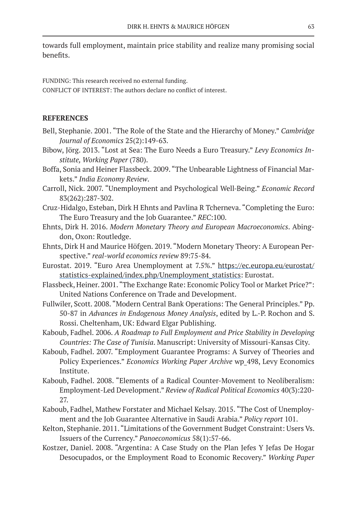towards full employment, maintain price stability and realize many promising social benefits.

FUNDING: This research received no external funding. CONFLICT OF INTEREST: The authors declare no conflict of interest.

## **REFERENCES**

- Bell, Stephanie. 2001. "The Role of the State and the Hierarchy of Money." *Cambridge Journal of Economics* 25(2):149-63.
- Bibow, Jörg. 2013. "Lost at Sea: The Euro Needs a Euro Treasury." *Levy Economics Institute, Working Paper* (780).
- Boffa, Sonia and Heiner Flassbeck. 2009. "The Unbearable Lightness of Financial Markets." *India Economy Review*.
- Carroll, Nick. 2007. "Unemployment and Psychological Well‐Being." *Economic Record* 83(262):287-302.
- Cruz-Hidalgo, Esteban, Dirk H Ehnts and Pavlina R Tcherneva. "Completing the Euro: The Euro Treasury and the Job Guarantee." *REC*:100.
- Ehnts, Dirk H. 2016. *Modern Monetary Theory and European Macroeconomics*. Abingdon, Oxon: Routledge.
- Ehnts, Dirk H and Maurice Höfgen. 2019. "Modern Monetary Theory: A European Perspective." *real-world economics review* 89:75-84.
- Eurostat. 2019. "Euro Area Unemployment at 7.5%." https://ec.europa.eu/eurostat/ statistics-explained/index.php/Unemployment\_statistics: Eurostat.
- Flassbeck, Heiner. 2001. "The Exchange Rate: Economic Policy Tool or Market Price?": United Nations Conference on Trade and Development.
- Fullwiler, Scott. 2008. "Modern Central Bank Operations: The General Principles." Pp. 50-87 in *Advances in Endogenous Money Analysis*, edited by L.-P. Rochon and S. Rossi. Cheltenham, UK: Edward Elgar Publishing.
- Kaboub, Fadhel. 2006. *A Roadmap to Full Employment and Price Stability in Developing Countries: The Case of Tunisia*. Manuscript: University of Missouri-Kansas City.
- Kaboub, Fadhel. 2007. "Employment Guarantee Programs: A Survey of Theories and Policy Experiences." *Economics Working Paper Archive* wp\_498, Levy Economics Institute.
- Kaboub, Fadhel. 2008. "Elements of a Radical Counter-Movement to Neoliberalism: Employment-Led Development." *Review of Radical Political Economics* 40(3):220- 27.
- Kaboub, Fadhel, Mathew Forstater and Michael Kelsay. 2015. "The Cost of Unemployment and the Job Guarantee Alternative in Saudi Arabia." *Policy report* 101.
- Kelton, Stephanie. 2011. "Limitations of the Government Budget Constraint: Users Vs. Issuers of the Currency." *Panoeconomicus* 58(1):57-66.
- Kostzer, Daniel. 2008. "Argentina: A Case Study on the Plan Jefes Y Jefas De Hogar Desocupados, or the Employment Road to Economic Recovery." *Working Paper*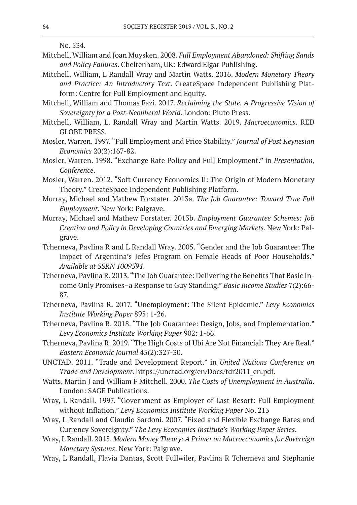No. 534.

- Mitchell, William and Joan Muysken. 2008. *Full Employment Abandoned: Shifting Sands and Policy Failures*. Cheltenham, UK: Edward Elgar Publishing.
- Mitchell, William, L Randall Wray and Martin Watts. 2016. *Modern Monetary Theory and Practice: An Introductory Text*. CreateSpace Independent Publishing Platform: Centre for Full Employment and Equity.
- Mitchell, William and Thomas Fazi. 2017. *Reclaiming the State. A Progressive Vision of Sovereignty for a Post-Neoliberal World*. London: Pluto Press.
- Mitchell, William, L. Randall Wray and Martin Watts. 2019. *Macroeconomics*. RED GLOBE PRESS.
- Mosler, Warren. 1997. "Full Employment and Price Stability." *Journal of Post Keynesian Economics* 20(2):167-82.
- Mosler, Warren. 1998. "Exchange Rate Policy and Full Employment." in *Presentation, Conference*.
- Mosler, Warren. 2012. "Soft Currency Economics Ii: The Origin of Modern Monetary Theory." CreateSpace Independent Publishing Platform.
- Murray, Michael and Mathew Forstater. 2013a. *The Job Guarantee: Toward True Full Employment*. New York: Palgrave.
- Murray, Michael and Mathew Forstater. 2013b. *Employment Guarantee Schemes: Job Creation and Policy in Developing Countries and Emerging Markets*. New York: Palgrave.
- Tcherneva, Pavlina R and L Randall Wray. 2005. "Gender and the Job Guarantee: The Impact of Argentina's Jefes Program on Female Heads of Poor Households." *Available at SSRN 1009594*.
- Tcherneva, Pavlina R. 2013. "The Job Guarantee: Delivering the Benefits That Basic Income Only Promises–a Response to Guy Standing." *Basic Income Studies* 7(2):66- 87.
- Tcherneva, Pavlina R. 2017. "Unemployment: The Silent Epidemic." *Levy Economics Institute Working Paper* 895: 1-26.
- Tcherneva, Pavlina R. 2018. "The Job Guarantee: Design, Jobs, and Implementation." *Levy Economics Institute Working Paper* 902: 1-66.
- Tcherneva, Pavlina R. 2019. "The High Costs of Ubi Are Not Financial: They Are Real." *Eastern Economic Journal* 45(2):327-30.
- UNCTAD. 2011. "Trade and Development Report." in *United Nations Conference on Trade and Development*. https://unctad.org/en/Docs/tdr2011\_en.pdf.
- Watts, Martin J and William F Mitchell. 2000. *The Costs of Unemployment in Australia*. London: SAGE Publications.
- Wray, L Randall. 1997. "Government as Employer of Last Resort: Full Employment without Inflation." *Levy Economics Institute Working Paper* No. 213
- Wray, L Randall and Claudio Sardoni. 2007. "Fixed and Flexible Exchange Rates and Currency Sovereignty." *The Levy Economics Institute's Working Paper Series*.
- Wray, L Randall. 2015. *Modern Money Theory: A Primer on Macroeconomics for Sovereign Monetary Systems*. New York: Palgrave.
- Wray, L Randall, Flavia Dantas, Scott Fullwiler, Pavlina R Tcherneva and Stephanie